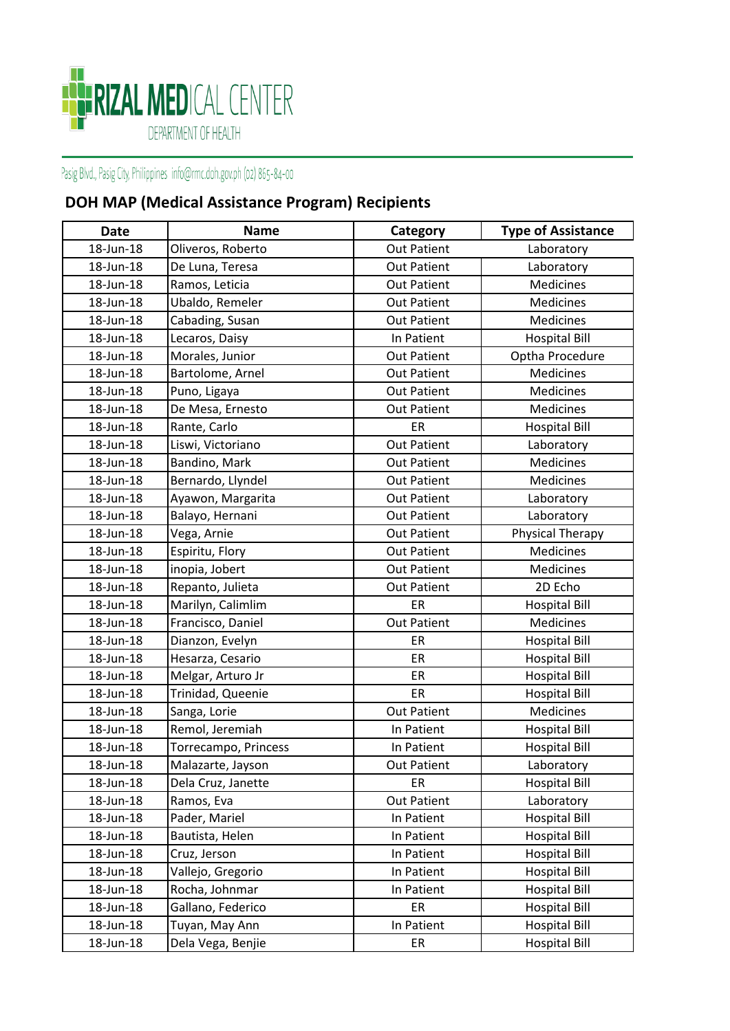

## Pasig Blvd., Pasig City, Philippines info@rmc.doh.gov.ph (02) 865-84-00

## **DOH MAP (Medical Assistance Program) Recipients**

| Date      | <b>Name</b>          | Category           | <b>Type of Assistance</b> |
|-----------|----------------------|--------------------|---------------------------|
| 18-Jun-18 | Oliveros, Roberto    | <b>Out Patient</b> | Laboratory                |
| 18-Jun-18 | De Luna, Teresa      | <b>Out Patient</b> | Laboratory                |
| 18-Jun-18 | Ramos, Leticia       | <b>Out Patient</b> | Medicines                 |
| 18-Jun-18 | Ubaldo, Remeler      | <b>Out Patient</b> | <b>Medicines</b>          |
| 18-Jun-18 | Cabading, Susan      | <b>Out Patient</b> | Medicines                 |
| 18-Jun-18 | Lecaros, Daisy       | In Patient         | <b>Hospital Bill</b>      |
| 18-Jun-18 | Morales, Junior      | <b>Out Patient</b> | Optha Procedure           |
| 18-Jun-18 | Bartolome, Arnel     | <b>Out Patient</b> | Medicines                 |
| 18-Jun-18 | Puno, Ligaya         | <b>Out Patient</b> | <b>Medicines</b>          |
| 18-Jun-18 | De Mesa, Ernesto     | <b>Out Patient</b> | <b>Medicines</b>          |
| 18-Jun-18 | Rante, Carlo         | ER                 | <b>Hospital Bill</b>      |
| 18-Jun-18 | Liswi, Victoriano    | <b>Out Patient</b> | Laboratory                |
| 18-Jun-18 | Bandino, Mark        | <b>Out Patient</b> | Medicines                 |
| 18-Jun-18 | Bernardo, Llyndel    | <b>Out Patient</b> | <b>Medicines</b>          |
| 18-Jun-18 | Ayawon, Margarita    | <b>Out Patient</b> | Laboratory                |
| 18-Jun-18 | Balayo, Hernani      | <b>Out Patient</b> | Laboratory                |
| 18-Jun-18 | Vega, Arnie          | <b>Out Patient</b> | Physical Therapy          |
| 18-Jun-18 | Espiritu, Flory      | <b>Out Patient</b> | Medicines                 |
| 18-Jun-18 | inopia, Jobert       | <b>Out Patient</b> | <b>Medicines</b>          |
| 18-Jun-18 | Repanto, Julieta     | <b>Out Patient</b> | 2D Echo                   |
| 18-Jun-18 | Marilyn, Calimlim    | ER                 | <b>Hospital Bill</b>      |
| 18-Jun-18 | Francisco, Daniel    | <b>Out Patient</b> | Medicines                 |
| 18-Jun-18 | Dianzon, Evelyn      | ER                 | <b>Hospital Bill</b>      |
| 18-Jun-18 | Hesarza, Cesario     | ER                 | <b>Hospital Bill</b>      |
| 18-Jun-18 | Melgar, Arturo Jr    | ER                 | <b>Hospital Bill</b>      |
| 18-Jun-18 | Trinidad, Queenie    | ER                 | <b>Hospital Bill</b>      |
| 18-Jun-18 | Sanga, Lorie         | <b>Out Patient</b> | Medicines                 |
| 18-Jun-18 | Remol, Jeremiah      | In Patient         | <b>Hospital Bill</b>      |
| 18-Jun-18 | Torrecampo, Princess | In Patient         | <b>Hospital Bill</b>      |
| 18-Jun-18 | Malazarte, Jayson    | <b>Out Patient</b> | Laboratory                |
| 18-Jun-18 | Dela Cruz, Janette   | ER                 | <b>Hospital Bill</b>      |
| 18-Jun-18 | Ramos, Eva           | <b>Out Patient</b> | Laboratory                |
| 18-Jun-18 | Pader, Mariel        | In Patient         | <b>Hospital Bill</b>      |
| 18-Jun-18 | Bautista, Helen      | In Patient         | <b>Hospital Bill</b>      |
| 18-Jun-18 | Cruz, Jerson         | In Patient         | <b>Hospital Bill</b>      |
| 18-Jun-18 | Vallejo, Gregorio    | In Patient         | <b>Hospital Bill</b>      |
| 18-Jun-18 | Rocha, Johnmar       | In Patient         | <b>Hospital Bill</b>      |
| 18-Jun-18 | Gallano, Federico    | ER                 | <b>Hospital Bill</b>      |
| 18-Jun-18 | Tuyan, May Ann       | In Patient         | <b>Hospital Bill</b>      |
| 18-Jun-18 | Dela Vega, Benjie    | ER                 | <b>Hospital Bill</b>      |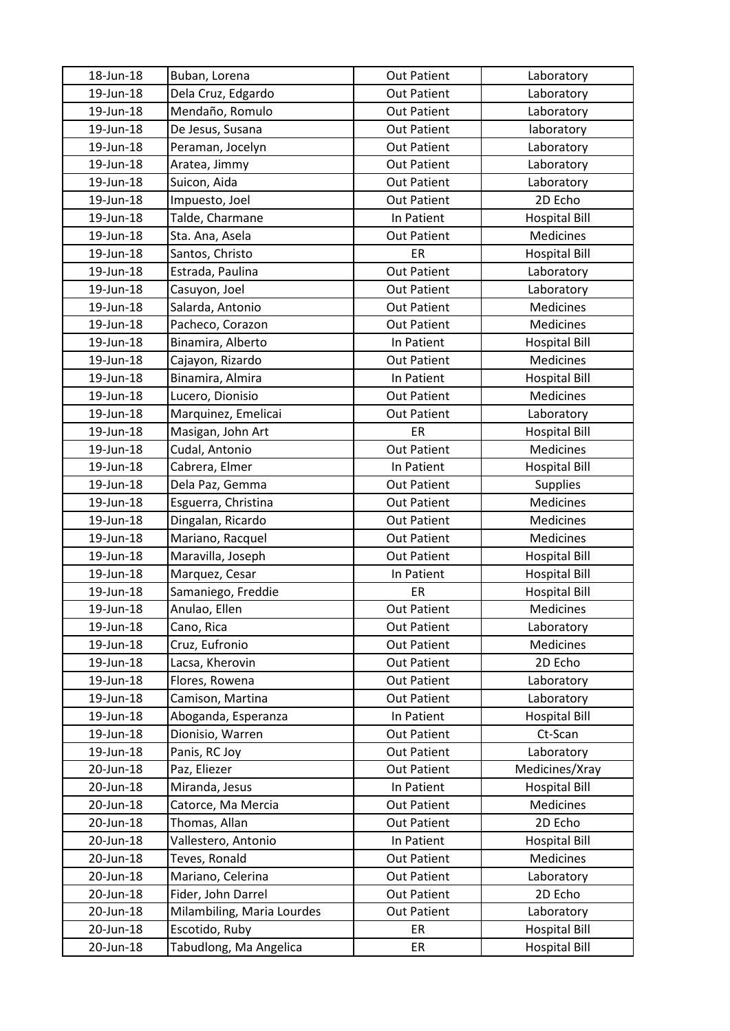| 18-Jun-18 | Buban, Lorena              | <b>Out Patient</b> | Laboratory           |
|-----------|----------------------------|--------------------|----------------------|
| 19-Jun-18 | Dela Cruz, Edgardo         | <b>Out Patient</b> | Laboratory           |
| 19-Jun-18 | Mendaño, Romulo            | <b>Out Patient</b> | Laboratory           |
| 19-Jun-18 | De Jesus, Susana           | <b>Out Patient</b> | laboratory           |
| 19-Jun-18 | Peraman, Jocelyn           | <b>Out Patient</b> | Laboratory           |
| 19-Jun-18 | Aratea, Jimmy              | <b>Out Patient</b> | Laboratory           |
| 19-Jun-18 | Suicon, Aida               | <b>Out Patient</b> | Laboratory           |
| 19-Jun-18 | Impuesto, Joel             | <b>Out Patient</b> | 2D Echo              |
| 19-Jun-18 | Talde, Charmane            | In Patient         | <b>Hospital Bill</b> |
| 19-Jun-18 | Sta. Ana, Asela            | <b>Out Patient</b> | Medicines            |
| 19-Jun-18 | Santos, Christo            | ER                 | <b>Hospital Bill</b> |
| 19-Jun-18 | Estrada, Paulina           | <b>Out Patient</b> | Laboratory           |
| 19-Jun-18 | Casuyon, Joel              | <b>Out Patient</b> | Laboratory           |
| 19-Jun-18 | Salarda, Antonio           | <b>Out Patient</b> | Medicines            |
| 19-Jun-18 | Pacheco, Corazon           | <b>Out Patient</b> | <b>Medicines</b>     |
| 19-Jun-18 | Binamira, Alberto          | In Patient         | <b>Hospital Bill</b> |
| 19-Jun-18 | Cajayon, Rizardo           | <b>Out Patient</b> | Medicines            |
| 19-Jun-18 | Binamira, Almira           | In Patient         | <b>Hospital Bill</b> |
| 19-Jun-18 | Lucero, Dionisio           | <b>Out Patient</b> | Medicines            |
| 19-Jun-18 | Marquinez, Emelicai        | <b>Out Patient</b> | Laboratory           |
| 19-Jun-18 | Masigan, John Art          | ER                 | <b>Hospital Bill</b> |
| 19-Jun-18 | Cudal, Antonio             | <b>Out Patient</b> | Medicines            |
| 19-Jun-18 | Cabrera, Elmer             | In Patient         | <b>Hospital Bill</b> |
| 19-Jun-18 | Dela Paz, Gemma            | <b>Out Patient</b> | <b>Supplies</b>      |
| 19-Jun-18 | Esguerra, Christina        | <b>Out Patient</b> | Medicines            |
| 19-Jun-18 | Dingalan, Ricardo          | <b>Out Patient</b> | Medicines            |
| 19-Jun-18 | Mariano, Racquel           | <b>Out Patient</b> | Medicines            |
| 19-Jun-18 | Maravilla, Joseph          | <b>Out Patient</b> | <b>Hospital Bill</b> |
| 19-Jun-18 | Marquez, Cesar             | In Patient         | <b>Hospital Bill</b> |
| 19-Jun-18 | Samaniego, Freddie         | ER                 | <b>Hospital Bill</b> |
| 19-Jun-18 | Anulao, Ellen              | <b>Out Patient</b> | <b>Medicines</b>     |
| 19-Jun-18 | Cano, Rica                 | <b>Out Patient</b> | Laboratory           |
| 19-Jun-18 | Cruz, Eufronio             | <b>Out Patient</b> | <b>Medicines</b>     |
| 19-Jun-18 | Lacsa, Kherovin            | <b>Out Patient</b> | 2D Echo              |
| 19-Jun-18 | Flores, Rowena             | <b>Out Patient</b> | Laboratory           |
| 19-Jun-18 | Camison, Martina           | <b>Out Patient</b> | Laboratory           |
| 19-Jun-18 | Aboganda, Esperanza        | In Patient         | <b>Hospital Bill</b> |
| 19-Jun-18 | Dionisio, Warren           | <b>Out Patient</b> | Ct-Scan              |
| 19-Jun-18 | Panis, RC Joy              | <b>Out Patient</b> | Laboratory           |
| 20-Jun-18 | Paz, Eliezer               | <b>Out Patient</b> | Medicines/Xray       |
| 20-Jun-18 | Miranda, Jesus             | In Patient         | <b>Hospital Bill</b> |
| 20-Jun-18 | Catorce, Ma Mercia         | <b>Out Patient</b> | Medicines            |
| 20-Jun-18 | Thomas, Allan              | <b>Out Patient</b> | 2D Echo              |
| 20-Jun-18 | Vallestero, Antonio        | In Patient         | <b>Hospital Bill</b> |
| 20-Jun-18 | Teves, Ronald              | <b>Out Patient</b> | Medicines            |
| 20-Jun-18 | Mariano, Celerina          | <b>Out Patient</b> | Laboratory           |
| 20-Jun-18 | Fider, John Darrel         | <b>Out Patient</b> | 2D Echo              |
| 20-Jun-18 | Milambiling, Maria Lourdes | <b>Out Patient</b> | Laboratory           |
| 20-Jun-18 | Escotido, Ruby             | ER                 | <b>Hospital Bill</b> |
| 20-Jun-18 | Tabudlong, Ma Angelica     | ER                 | <b>Hospital Bill</b> |